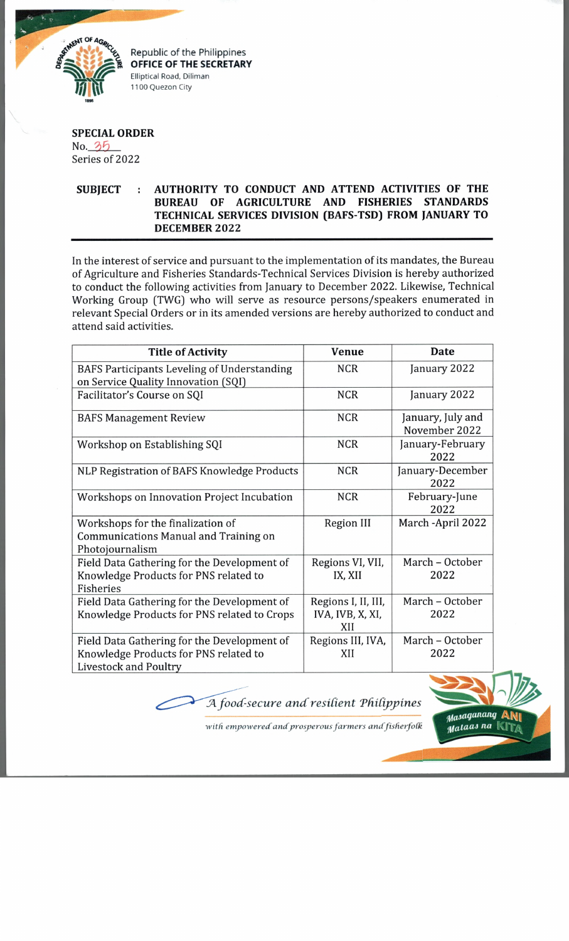

*£* % Republic of the Philippines **OFFICE OF THE SECRETARY** Elliptical Road, Diliman 1100 Quezon City

## **SPECIAL ORDER**  $No. 35$ Series of 2022

## **SUBJECT : AUTHORITY TO CONDUCT AND ATTEND ACTIVITIES OF THE BUREAU OF AGRICULTURE AND FISHERIES STANDARDS TECHNICAL SERVICES DIVISION (BAFS-TSD) FROM JANUARY TO DECEMBER 2022**

In the interest of service and pursuant to the implementation of its mandates, the Bureau of Agriculture and Fisheries Standards-Technical Services Division is hereby authorized to conduct the following activities from January to December 2022. Likewise, Technical Working Group (TWG) who will serve as resource persons/speakers enumerated in relevant Special Orders or in its amended versions are hereby authorized to conduct and attend said activities.

| <b>Title of Activity</b>                                                                                             | <b>Venue</b>                                   | <b>Date</b>                        |
|----------------------------------------------------------------------------------------------------------------------|------------------------------------------------|------------------------------------|
| <b>BAFS Participants Leveling of Understanding</b><br>on Service Quality Innovation (SQI)                            | <b>NCR</b>                                     | January 2022                       |
| Facilitator's Course on SQI                                                                                          | <b>NCR</b>                                     | January 2022                       |
| <b>BAFS Management Review</b>                                                                                        | <b>NCR</b>                                     | January, July and<br>November 2022 |
| Workshop on Establishing SQI                                                                                         | <b>NCR</b>                                     | January-February<br>2022           |
| NLP Registration of BAFS Knowledge Products                                                                          | <b>NCR</b>                                     | January-December<br>2022           |
| Workshops on Innovation Project Incubation                                                                           | <b>NCR</b>                                     | February-June<br>2022              |
| Workshops for the finalization of<br>Communications Manual and Training on<br>Photojournalism                        | <b>Region III</b>                              | March - April 2022                 |
| Field Data Gathering for the Development of<br>Knowledge Products for PNS related to<br>Fisheries                    | Regions VI, VII,<br>IX, XII                    | March - October<br>2022            |
| Field Data Gathering for the Development of<br>Knowledge Products for PNS related to Crops                           | Regions I, II, III,<br>IVA, IVB, X, XI,<br>XII | March - October<br>2022            |
| Field Data Gathering for the Development of<br>Knowledge Products for PNS related to<br><b>Livestock and Poultry</b> | Regions III, IVA,<br>XII                       | March - October<br>2022            |

 $\overline{\mathcal{A}}$  food-secure and resilient Philippines



with empowered and prosperous farmers and fisherfolk